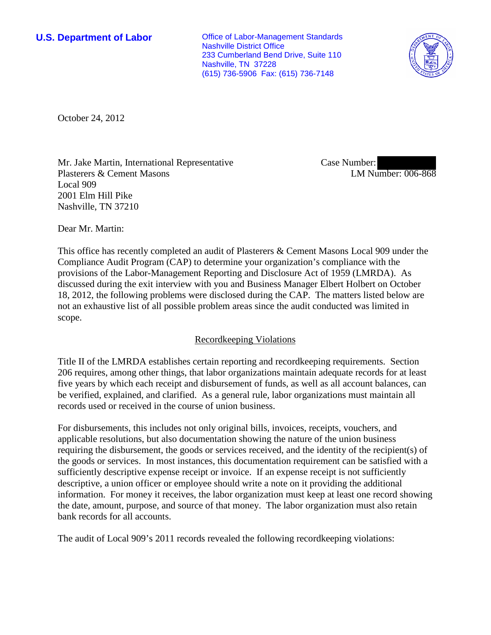**U.S. Department of Labor Conservative Conservative Conservative Conservative Conservative Conservative Conservative Conservative Conservative Conservative Conservative Conservative Conservative Conservative Conservative** Nashville District Office 233 Cumberland Bend Drive, Suite 110 Nashville, TN 37228 (615) 736-5906 Fax: (615) 736-7148



October 24, 2012

Mr. Jake Martin, International Representative Plasterers & Cement Masons Local 909 2001 Elm Hill Pike Nashville, TN 37210

Case Number: LM Number: 006-868

Dear Mr. Martin:

This office has recently completed an audit of Plasterers & Cement Masons Local 909 under the Compliance Audit Program (CAP) to determine your organization's compliance with the provisions of the Labor-Management Reporting and Disclosure Act of 1959 (LMRDA). As discussed during the exit interview with you and Business Manager Elbert Holbert on October 18, 2012, the following problems were disclosed during the CAP. The matters listed below are not an exhaustive list of all possible problem areas since the audit conducted was limited in scope.

# Recordkeeping Violations

Title II of the LMRDA establishes certain reporting and recordkeeping requirements. Section 206 requires, among other things, that labor organizations maintain adequate records for at least five years by which each receipt and disbursement of funds, as well as all account balances, can be verified, explained, and clarified. As a general rule, labor organizations must maintain all records used or received in the course of union business.

For disbursements, this includes not only original bills, invoices, receipts, vouchers, and applicable resolutions, but also documentation showing the nature of the union business requiring the disbursement, the goods or services received, and the identity of the recipient(s) of the goods or services. In most instances, this documentation requirement can be satisfied with a sufficiently descriptive expense receipt or invoice. If an expense receipt is not sufficiently descriptive, a union officer or employee should write a note on it providing the additional information. For money it receives, the labor organization must keep at least one record showing the date, amount, purpose, and source of that money. The labor organization must also retain bank records for all accounts.

The audit of Local 909's 2011 records revealed the following recordkeeping violations: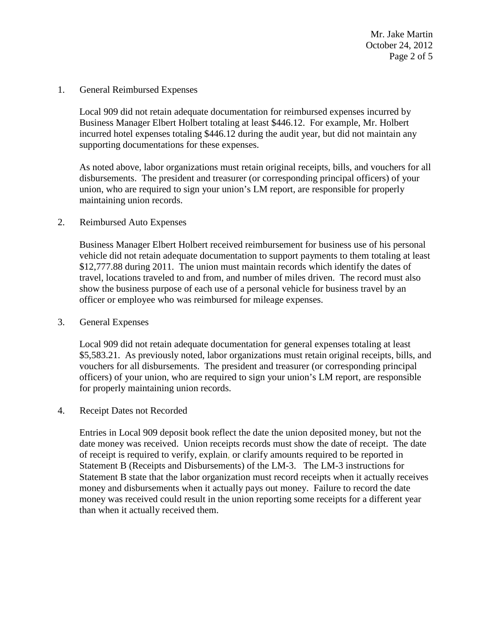Mr. Jake Martin October 24, 2012 Page 2 of 5

1. General Reimbursed Expenses

Local 909 did not retain adequate documentation for reimbursed expenses incurred by Business Manager Elbert Holbert totaling at least \$446.12. For example, Mr. Holbert incurred hotel expenses totaling \$446.12 during the audit year, but did not maintain any supporting documentations for these expenses.

As noted above, labor organizations must retain original receipts, bills, and vouchers for all disbursements. The president and treasurer (or corresponding principal officers) of your union, who are required to sign your union's LM report, are responsible for properly maintaining union records.

## 2. Reimbursed Auto Expenses

Business Manager Elbert Holbert received reimbursement for business use of his personal vehicle did not retain adequate documentation to support payments to them totaling at least \$12,777.88 during 2011. The union must maintain records which identify the dates of travel, locations traveled to and from, and number of miles driven. The record must also show the business purpose of each use of a personal vehicle for business travel by an officer or employee who was reimbursed for mileage expenses.

### 3. General Expenses

Local 909 did not retain adequate documentation for general expenses totaling at least \$5,583.21. As previously noted, labor organizations must retain original receipts, bills, and vouchers for all disbursements. The president and treasurer (or corresponding principal officers) of your union, who are required to sign your union's LM report, are responsible for properly maintaining union records.

## 4. Receipt Dates not Recorded

Entries in Local 909 deposit book reflect the date the union deposited money, but not the date money was received. Union receipts records must show the date of receipt. The date of receipt is required to verify, explain, or clarify amounts required to be reported in Statement B (Receipts and Disbursements) of the LM-3. The LM-3 instructions for Statement B state that the labor organization must record receipts when it actually receives money and disbursements when it actually pays out money. Failure to record the date money was received could result in the union reporting some receipts for a different year than when it actually received them.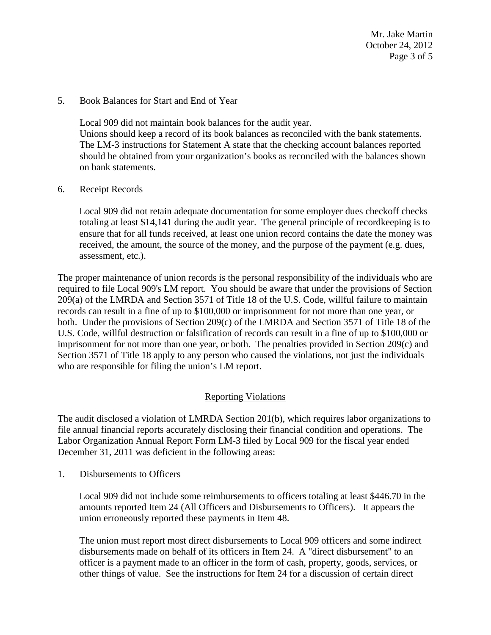5. Book Balances for Start and End of Year

Local 909 did not maintain book balances for the audit year. Unions should keep a record of its book balances as reconciled with the bank statements. The LM-3 instructions for Statement A state that the checking account balances reported should be obtained from your organization's books as reconciled with the balances shown on bank statements.

6. Receipt Records

Local 909 did not retain adequate documentation for some employer dues checkoff checks totaling at least \$14,141 during the audit year. The general principle of recordkeeping is to ensure that for all funds received, at least one union record contains the date the money was received, the amount, the source of the money, and the purpose of the payment (e.g. dues, assessment, etc.).

The proper maintenance of union records is the personal responsibility of the individuals who are required to file Local 909's LM report. You should be aware that under the provisions of Section 209(a) of the LMRDA and Section 3571 of Title 18 of the U.S. Code, willful failure to maintain records can result in a fine of up to \$100,000 or imprisonment for not more than one year, or both. Under the provisions of Section 209(c) of the LMRDA and Section 3571 of Title 18 of the U.S. Code, willful destruction or falsification of records can result in a fine of up to \$100,000 or imprisonment for not more than one year, or both. The penalties provided in Section 209(c) and Section 3571 of Title 18 apply to any person who caused the violations, not just the individuals who are responsible for filing the union's LM report.

# Reporting Violations

The audit disclosed a violation of LMRDA Section 201(b), which requires labor organizations to file annual financial reports accurately disclosing their financial condition and operations. The Labor Organization Annual Report Form LM-3 filed by Local 909 for the fiscal year ended December 31, 2011 was deficient in the following areas:

1. Disbursements to Officers

Local 909 did not include some reimbursements to officers totaling at least \$446.70 in the amounts reported Item 24 (All Officers and Disbursements to Officers). It appears the union erroneously reported these payments in Item 48.

The union must report most direct disbursements to Local 909 officers and some indirect disbursements made on behalf of its officers in Item 24. A "direct disbursement" to an officer is a payment made to an officer in the form of cash, property, goods, services, or other things of value. See the instructions for Item 24 for a discussion of certain direct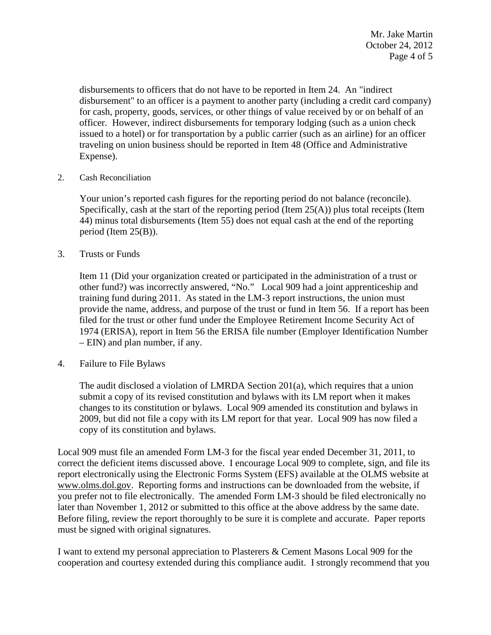disbursements to officers that do not have to be reported in Item 24. An "indirect disbursement" to an officer is a payment to another party (including a credit card company) for cash, property, goods, services, or other things of value received by or on behalf of an officer. However, indirect disbursements for temporary lodging (such as a union check issued to a hotel) or for transportation by a public carrier (such as an airline) for an officer traveling on union business should be reported in Item 48 (Office and Administrative Expense).

2. Cash Reconciliation

Your union's reported cash figures for the reporting period do not balance (reconcile). Specifically, cash at the start of the reporting period (Item 25(A)) plus total receipts (Item 44) minus total disbursements (Item 55) does not equal cash at the end of the reporting period (Item 25(B)).

3. Trusts or Funds

Item 11 (Did your organization created or participated in the administration of a trust or other fund?) was incorrectly answered, "No." Local 909 had a joint apprenticeship and training fund during 2011. As stated in the LM-3 report instructions, the union must provide the name, address, and purpose of the trust or fund in Item 56. If a report has been filed for the trust or other fund under the Employee Retirement Income Security Act of 1974 (ERISA), report in Item 56 the ERISA file number (Employer Identification Number – EIN) and plan number, if any.

4. Failure to File Bylaws

The audit disclosed a violation of LMRDA Section 201(a), which requires that a union submit a copy of its revised constitution and bylaws with its LM report when it makes changes to its constitution or bylaws. Local 909 amended its constitution and bylaws in 2009, but did not file a copy with its LM report for that year. Local 909 has now filed a copy of its constitution and bylaws.

Local 909 must file an amended Form LM-3 for the fiscal year ended December 31, 2011, to correct the deficient items discussed above. I encourage Local 909 to complete, sign, and file its report electronically using the Electronic Forms System (EFS) available at the OLMS website at [www.olms.dol.gov.](http://www.olms.dol.gov/) Reporting forms and instructions can be downloaded from the website, if you prefer not to file electronically. The amended Form LM-3 should be filed electronically no later than November 1, 2012 or submitted to this office at the above address by the same date. Before filing, review the report thoroughly to be sure it is complete and accurate. Paper reports must be signed with original signatures.

I want to extend my personal appreciation to Plasterers & Cement Masons Local 909 for the cooperation and courtesy extended during this compliance audit. I strongly recommend that you